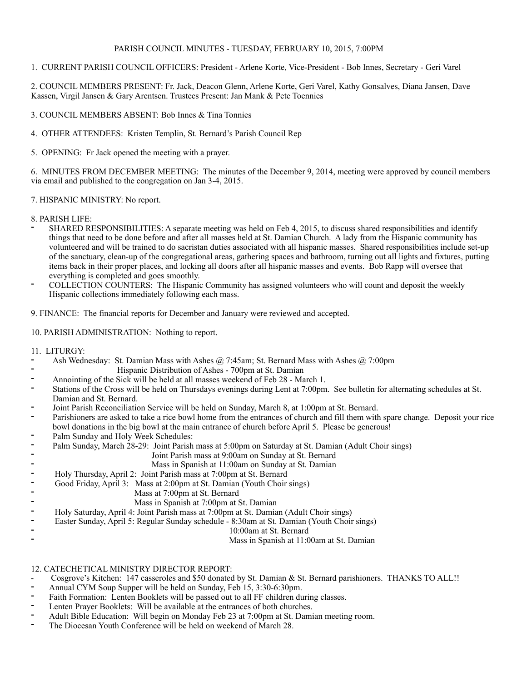### PARISH COUNCIL MINUTES - TUESDAY, FEBRUARY 10, 2015, 7:00PM

1. CURRENT PARISH COUNCIL OFFICERS: President - Arlene Korte, Vice-President - Bob Innes, Secretary - Geri Varel

2. COUNCIL MEMBERS PRESENT: Fr. Jack, Deacon Glenn, Arlene Korte, Geri Varel, Kathy Gonsalves, Diana Jansen, Dave Kassen, Virgil Jansen & Gary Arentsen. Trustees Present: Jan Mank & Pete Toennies

3. COUNCIL MEMBERS ABSENT: Bob Innes & Tina Tonnies

4. OTHER ATTENDEES: Kristen Templin, St. Bernard's Parish Council Rep

5. OPENING: Fr Jack opened the meeting with a prayer.

6. MINUTES FROM DECEMBER MEETING: The minutes of the December 9, 2014, meeting were approved by council members via email and published to the congregation on Jan 3-4, 2015.

#### 7. HISPANIC MINISTRY: No report.

#### 8. PARISH LIFE:

- SHARED RESPONSIBILITIES: A separate meeting was held on Feb 4, 2015, to discuss shared responsibilities and identify things that need to be done before and after all masses held at St. Damian Church. A lady from the Hispanic community has volunteered and will be trained to do sacristan duties associated with all hispanic masses. Shared responsibilities include set-up of the sanctuary, clean-up of the congregational areas, gathering spaces and bathroom, turning out all lights and fixtures, putting items back in their proper places, and locking all doors after all hispanic masses and events. Bob Rapp will oversee that everything is completed and goes smoothly.
- COLLECTION COUNTERS: The Hispanic Community has assigned volunteers who will count and deposit the weekly Hispanic collections immediately following each mass.

9. FINANCE: The financial reports for December and January were reviewed and accepted.

#### 10. PARISH ADMINISTRATION: Nothing to report.

#### 11. LITURGY:

- Ash Wednesday: St. Damian Mass with Ashes @ 7:45am; St. Bernard Mass with Ashes @ 7:00pm
- <sup>-</sup> Hispanic Distribution of Ashes 700pm at St. Damian<br>Appointing of the Sick will be held at all masses weekend of Eeb 28. Ma Annointing of the Sick will be held at all masses weekend of Feb 28 - March 1.
- Stations of the Cross will be held on Thursdays evenings during Lent at 7:00pm. See bulletin for alternating schedules at St. Damian and St. Bernard.
- Joint Parish Reconciliation Service will be held on Sunday, March 8, at 1:00pm at St. Bernard.
- Parishioners are asked to take a rice bowl home from the entrances of church and fill them with spare change. Deposit your rice bowl donations in the big bowl at the main entrance of church before April 5. Please be generous!
- Palm Sunday and Holy Week Schedules:
- Palm Sunday, March 28-29: Joint Parish mass at 5:00pm on Saturday at St. Damian (Adult Choir sings)
	- Joint Parish mass at 9:00am on Sunday at St. Bernard
	- Mass in Spanish at 11:00am on Sunday at St. Damian
- Holy Thursday, April 2: Joint Parish mass at 7:00pm at St. Bernard
- Good Friday, April 3: Mass at 2:00pm at St. Damian (Youth Choir sings)
	- Mass at 7:00pm at St. Bernard
		- Mass in Spanish at 7:00pm at St. Damian
- Holy Saturday, April 4: Joint Parish mass at 7:00pm at St. Damian (Adult Choir sings)
- Easter Sunday, April 5: Regular Sunday schedule 8:30am at St. Damian (Youth Choir sings)
	- 10:00am at St. Bernard

Mass in Spanish at 11:00am at St. Damian

#### 12. CATECHETICAL MINISTRY DIRECTOR REPORT:

- Cosgrove's Kitchen: 147 casseroles and \$50 donated by St. Damian & St. Bernard parishioners. THANKS TO ALL!!
- Annual CYM Soup Supper will be held on Sunday, Feb 15, 3:30-6:30pm.
- Faith Formation: Lenten Booklets will be passed out to all FF children during classes.
- Lenten Prayer Booklets: Will be available at the entrances of both churches.
- Adult Bible Education: Will begin on Monday Feb 23 at 7:00pm at St. Damian meeting room.
- The Diocesan Youth Conference will be held on weekend of March 28.